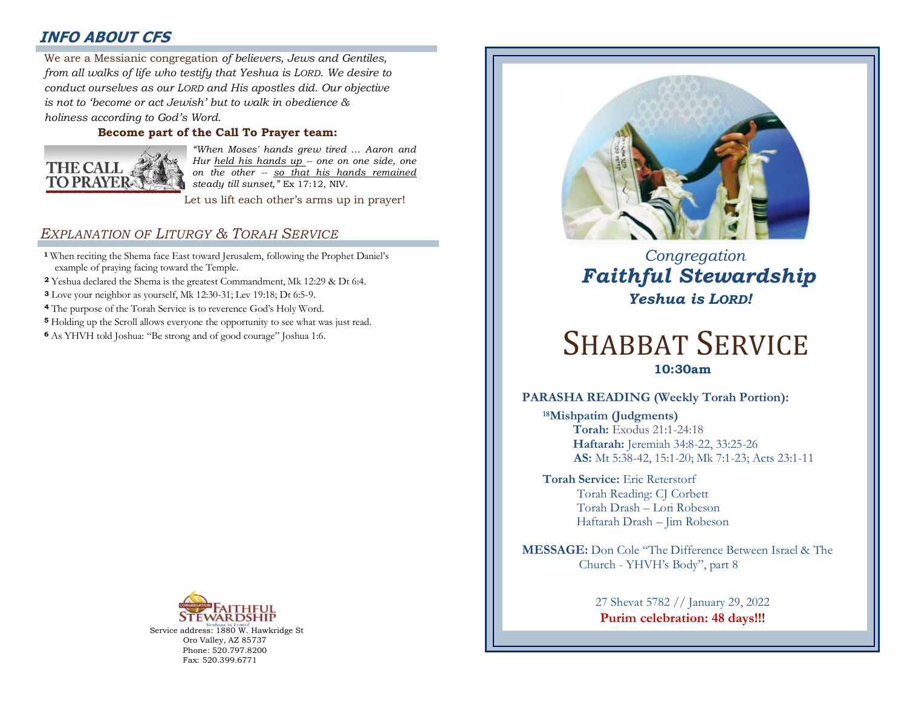# **INFO ABOUT CFS**

: *from all walks of life who testify that Yeshua is LORD. We desire to*  We are a Messianic congregation *of believers, Jews and Gentiles, conduct ourselves as our LORD and His apostles did. Our objective is not to 'become or act Jewish' but to walk in obedience & holiness according to God's Word.* 

### **Become part of the Call To Prayer team:**



*"When Moses' hands grew tired … Aaron and Hur held his hands up -- one on one side, one on the other -- so that his hands remained steady till sunset,"* Ex 17:12, NIV.

Let us lift each other's arms up in prayer!

### *EXPLANATION OF LITURGY & TORAH SERVICE*

- **<sup>1</sup>** When reciting the Shema face East toward Jerusalem, following the Prophet Daniel's example of praying facing toward the Temple.
- **<sup>2</sup>** Yeshua declared the Shema is the greatest Commandment, Mk 12:29 & Dt 6:4.
- **<sup>3</sup>** Love your neighbor as yourself, Mk 12:30-31; Lev 19:18; Dt 6:5-9.
- **<sup>4</sup>** The purpose of the Torah Service is to reverence God's Holy Word.
- **<sup>5</sup>** Holding up the Scroll allows everyone the opportunity to see what was just read.
- **<sup>6</sup>**As YHVH told Joshua: "Be strong and of good courage" Joshua 1:6.



Service address: 1880 W. Hawkridge St Oro Valley, AZ 85737 Phone: 520.797.8200 Fax: 520.399.6771



 *Congregation Faithful Stewardship Yeshua is LORD!*

# SHABBAT SERVICE **10:30am**

### **PARASHA READING (Weekly Torah Portion):**

**<sup>18</sup>Mishpatim (Judgments) Torah:** Exodus 21:1-24:18  **Haftarah:** Jeremiah 34:8-22, 33:25-26 **AS:** Mt 5:38-42, 15:1-20; Mk 7:1-23; Acts 23:1-11

**Torah Service:** Eric Reterstorf Torah Reading: CJ Corbett Torah Drash – Lori Robeson Haftarah Drash – Jim Robeson

**MESSAGE:** Don Cole "The Difference Between Israel & The Church - YHVH's Body", part 8

> 27 Shevat 5782 // January 29, 2022 **Purim celebration: 48 days!!!**